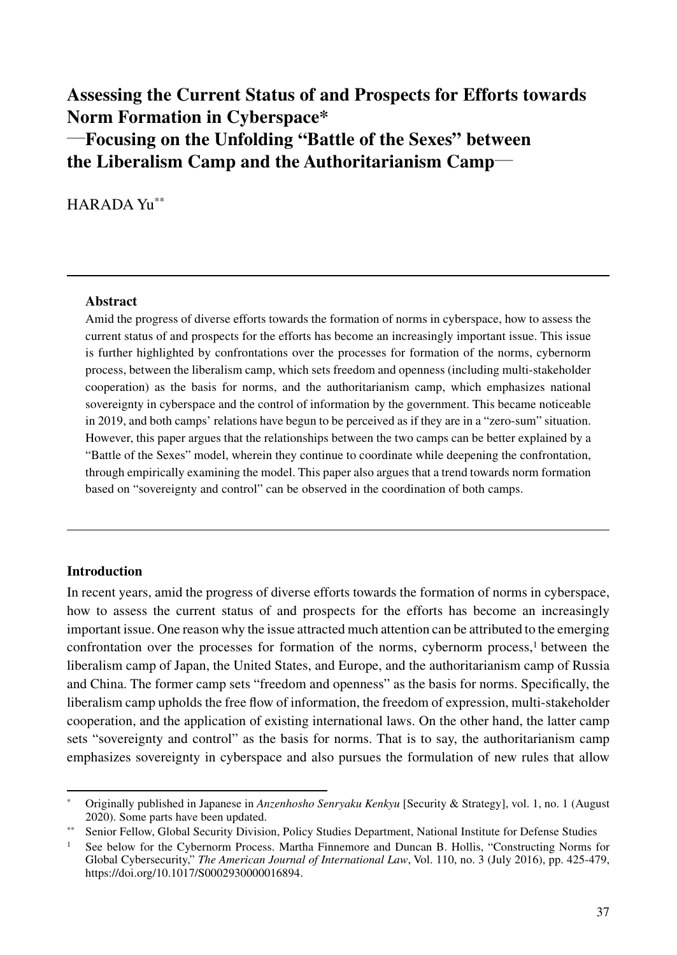# **Assessing the Current Status of and Prospects for Efforts towards Norm Formation in Cyberspace\***  ―**Focusing on the Unfolding "Battle of the Sexes" between the Liberalism Camp and the Authoritarianism Camp**―

HARADA Yu\*\*

#### **Abstract**

Amid the progress of diverse efforts towards the formation of norms in cyberspace, how to assess the current status of and prospects for the efforts has become an increasingly important issue. This issue is further highlighted by confrontations over the processes for formation of the norms, cybernorm process, between the liberalism camp, which sets freedom and openness (including multi-stakeholder cooperation) as the basis for norms, and the authoritarianism camp, which emphasizes national sovereignty in cyberspace and the control of information by the government. This became noticeable in 2019, and both camps' relations have begun to be perceived as if they are in a "zero-sum" situation. However, this paper argues that the relationships between the two camps can be better explained by a "Battle of the Sexes" model, wherein they continue to coordinate while deepening the confrontation, through empirically examining the model. This paper also argues that a trend towards norm formation based on "sovereignty and control" can be observed in the coordination of both camps.

# **Introduction**

In recent years, amid the progress of diverse efforts towards the formation of norms in cyberspace, how to assess the current status of and prospects for the efforts has become an increasingly important issue. One reason why the issue attracted much attention can be attributed to the emerging confrontation over the processes for formation of the norms, cybernorm process,<sup>1</sup> between the liberalism camp of Japan, the United States, and Europe, and the authoritarianism camp of Russia and China. The former camp sets "freedom and openness" as the basis for norms. Specifically, the liberalism camp upholds the free flow of information, the freedom of expression, multi-stakeholder cooperation, and the application of existing international laws. On the other hand, the latter camp sets "sovereignty and control" as the basis for norms. That is to say, the authoritarianism camp emphasizes sovereignty in cyberspace and also pursues the formulation of new rules that allow

<sup>\*</sup> Originally published in Japanese in *Anzenhosho Senryaku Kenkyu* [Security & Strategy], vol. 1, no. 1 (August 2020). Some parts have been updated.

<sup>\*\*</sup> Senior Fellow, Global Security Division, Policy Studies Department, National Institute for Defense Studies

<sup>&</sup>lt;sup>1</sup> See below for the Cybernorm Process. Martha Finnemore and Duncan B. Hollis, "Constructing Norms for Global Cybersecurity," *The American Journal of International Law*, Vol. 110, no. 3 (July 2016), pp. 425-479, https://doi.org/10.1017/S0002930000016894.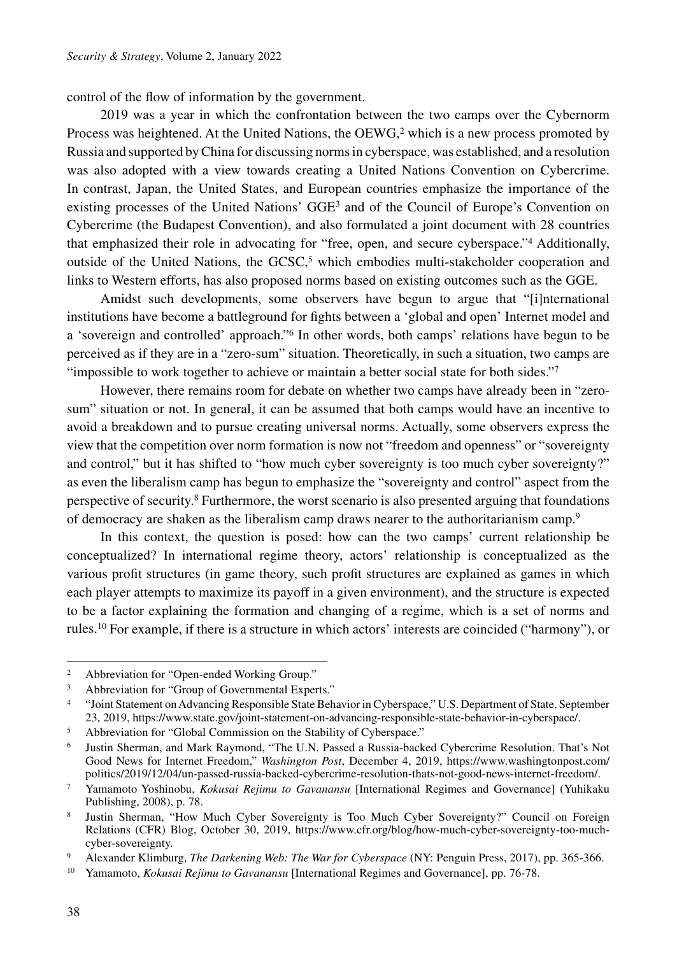control of the flow of information by the government.

2019 was a year in which the confrontation between the two camps over the Cybernorm Process was heightened. At the United Nations, the  $OEWG<sub>z</sub><sup>2</sup>$  which is a new process promoted by Russia and supported by China for discussing norms in cyberspace, was established, and a resolution was also adopted with a view towards creating a United Nations Convention on Cybercrime. In contrast, Japan, the United States, and European countries emphasize the importance of the existing processes of the United Nations' GGE3 and of the Council of Europe's Convention on Cybercrime (the Budapest Convention), and also formulated a joint document with 28 countries that emphasized their role in advocating for "free, open, and secure cyberspace."4 Additionally, outside of the United Nations, the  $GCSC<sub>5</sub>$  which embodies multi-stakeholder cooperation and links to Western efforts, has also proposed norms based on existing outcomes such as the GGE.

Amidst such developments, some observers have begun to argue that "[i]nternational institutions have become a battleground for fights between a 'global and open' Internet model and a 'sovereign and controlled' approach."6 In other words, both camps' relations have begun to be perceived as if they are in a "zero-sum" situation. Theoretically, in such a situation, two camps are "impossible to work together to achieve or maintain a better social state for both sides."7

However, there remains room for debate on whether two camps have already been in "zerosum" situation or not. In general, it can be assumed that both camps would have an incentive to avoid a breakdown and to pursue creating universal norms. Actually, some observers express the view that the competition over norm formation is now not "freedom and openness" or "sovereignty and control," but it has shifted to "how much cyber sovereignty is too much cyber sovereignty?" as even the liberalism camp has begun to emphasize the "sovereignty and control" aspect from the perspective of security.8 Furthermore, the worst scenario is also presented arguing that foundations of democracy are shaken as the liberalism camp draws nearer to the authoritarianism camp.9

In this context, the question is posed: how can the two camps' current relationship be conceptualized? In international regime theory, actors' relationship is conceptualized as the various profit structures (in game theory, such profit structures are explained as games in which each player attempts to maximize its payoff in a given environment), and the structure is expected to be a factor explaining the formation and changing of a regime, which is a set of norms and rules.10 For example, if there is a structure in which actors' interests are coincided ("harmony"), or

<sup>5</sup> Abbreviation for "Global Commission on the Stability of Cyberspace."

<sup>&</sup>lt;sup>2</sup> Abbreviation for "Open-ended Working Group."

<sup>&</sup>lt;sup>3</sup> Abbreviation for "Group of Governmental Experts."

<sup>4</sup> "Joint Statement on Advancing Responsible State Behavior in Cyberspace," U.S. Department of State, September 23, 2019, https://www.state.gov/joint-statement-on-advancing-responsible-state-behavior-in-cyberspace/.

<sup>6</sup> Justin Sherman, and Mark Raymond, "The U.N. Passed a Russia-backed Cybercrime Resolution. That's Not Good News for Internet Freedom," *Washington Post*, December 4, 2019, https://www.washingtonpost.com/ politics/2019/12/04/un-passed-russia-backed-cybercrime-resolution-thats-not-good-news-internet-freedom/.

<sup>7</sup> Yamamoto Yoshinobu, *Kokusai Rejimu to Gavanansu* [International Regimes and Governance] (Yuhikaku Publishing, 2008), p. 78.

<sup>8</sup> Justin Sherman, "How Much Cyber Sovereignty is Too Much Cyber Sovereignty?" Council on Foreign Relations (CFR) Blog, October 30, 2019, https://www.cfr.org/blog/how-much-cyber-sovereignty-too-muchcyber-sovereignty.

<sup>9</sup> Alexander Klimburg, *The Darkening Web: The War for Cyberspace* (NY: Penguin Press, 2017), pp. 365-366.

<sup>10</sup> Yamamoto, *Kokusai Rejimu to Gavanansu* [International Regimes and Governance], pp. 76-78.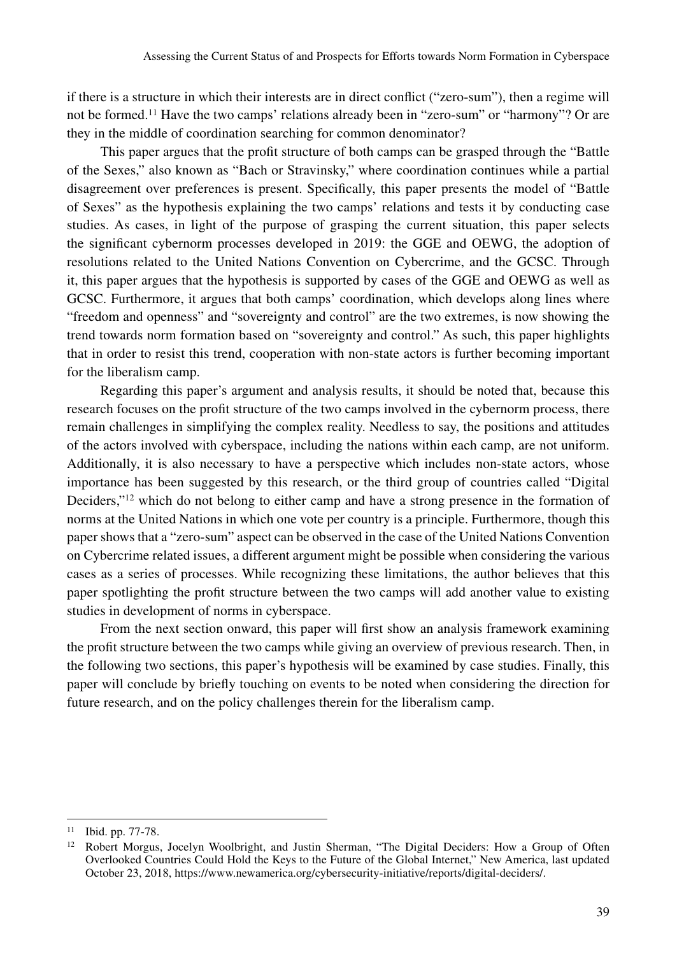if there is a structure in which their interests are in direct conflict ("zero-sum"), then a regime will not be formed.11 Have the two camps' relations already been in "zero-sum" or "harmony"? Or are they in the middle of coordination searching for common denominator?

This paper argues that the profit structure of both camps can be grasped through the "Battle of the Sexes," also known as "Bach or Stravinsky," where coordination continues while a partial disagreement over preferences is present. Specifically, this paper presents the model of "Battle of Sexes" as the hypothesis explaining the two camps' relations and tests it by conducting case studies. As cases, in light of the purpose of grasping the current situation, this paper selects the significant cybernorm processes developed in 2019: the GGE and OEWG, the adoption of resolutions related to the United Nations Convention on Cybercrime, and the GCSC. Through it, this paper argues that the hypothesis is supported by cases of the GGE and OEWG as well as GCSC. Furthermore, it argues that both camps' coordination, which develops along lines where "freedom and openness" and "sovereignty and control" are the two extremes, is now showing the trend towards norm formation based on "sovereignty and control." As such, this paper highlights that in order to resist this trend, cooperation with non-state actors is further becoming important for the liberalism camp.

Regarding this paper's argument and analysis results, it should be noted that, because this research focuses on the profit structure of the two camps involved in the cybernorm process, there remain challenges in simplifying the complex reality. Needless to say, the positions and attitudes of the actors involved with cyberspace, including the nations within each camp, are not uniform. Additionally, it is also necessary to have a perspective which includes non-state actors, whose importance has been suggested by this research, or the third group of countries called "Digital Deciders,"12 which do not belong to either camp and have a strong presence in the formation of norms at the United Nations in which one vote per country is a principle. Furthermore, though this paper shows that a "zero-sum" aspect can be observed in the case of the United Nations Convention on Cybercrime related issues, a different argument might be possible when considering the various cases as a series of processes. While recognizing these limitations, the author believes that this paper spotlighting the profit structure between the two camps will add another value to existing studies in development of norms in cyberspace.

From the next section onward, this paper will first show an analysis framework examining the profit structure between the two camps while giving an overview of previous research. Then, in the following two sections, this paper's hypothesis will be examined by case studies. Finally, this paper will conclude by briefly touching on events to be noted when considering the direction for future research, and on the policy challenges therein for the liberalism camp.

<sup>11</sup> Ibid. pp. 77-78.

<sup>&</sup>lt;sup>12</sup> Robert Morgus, Jocelyn Woolbright, and Justin Sherman, "The Digital Deciders: How a Group of Often Overlooked Countries Could Hold the Keys to the Future of the Global Internet," New America, last updated October 23, 2018, https://www.newamerica.org/cybersecurity-initiative/reports/digital-deciders/.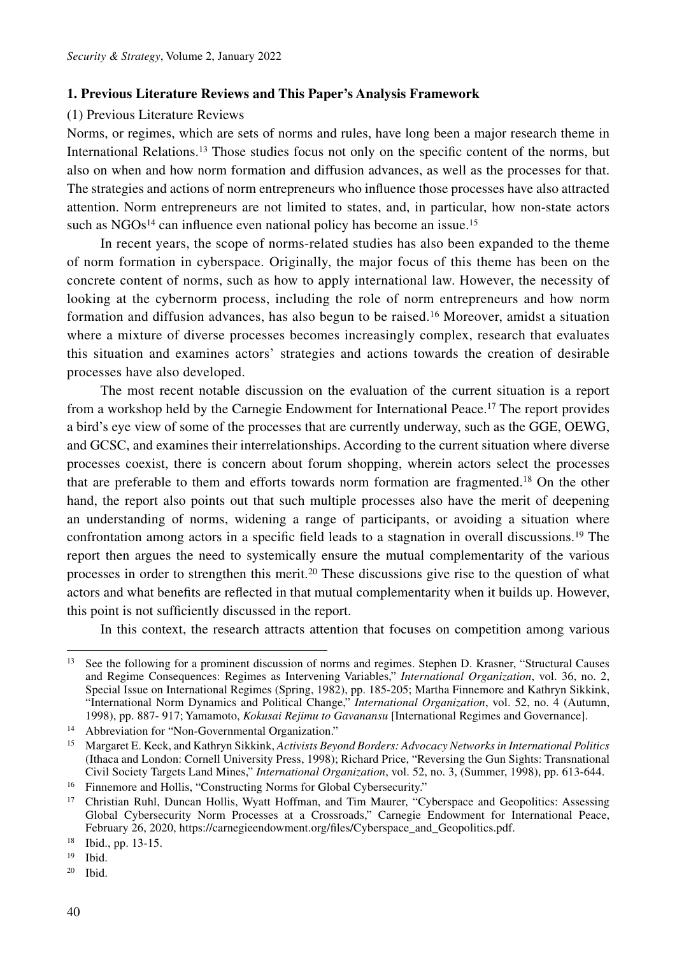#### **1. Previous Literature Reviews and This Paper's Analysis Framework**

# (1) Previous Literature Reviews

Norms, or regimes, which are sets of norms and rules, have long been a major research theme in International Relations.13 Those studies focus not only on the specific content of the norms, but also on when and how norm formation and diffusion advances, as well as the processes for that. The strategies and actions of norm entrepreneurs who influence those processes have also attracted attention. Norm entrepreneurs are not limited to states, and, in particular, how non-state actors such as  $NGOs<sup>14</sup>$  can influence even national policy has become an issue.<sup>15</sup>

In recent years, the scope of norms-related studies has also been expanded to the theme of norm formation in cyberspace. Originally, the major focus of this theme has been on the concrete content of norms, such as how to apply international law. However, the necessity of looking at the cybernorm process, including the role of norm entrepreneurs and how norm formation and diffusion advances, has also begun to be raised.<sup>16</sup> Moreover, amidst a situation where a mixture of diverse processes becomes increasingly complex, research that evaluates this situation and examines actors' strategies and actions towards the creation of desirable processes have also developed.

The most recent notable discussion on the evaluation of the current situation is a report from a workshop held by the Carnegie Endowment for International Peace.17 The report provides a bird's eye view of some of the processes that are currently underway, such as the GGE, OEWG, and GCSC, and examines their interrelationships. According to the current situation where diverse processes coexist, there is concern about forum shopping, wherein actors select the processes that are preferable to them and efforts towards norm formation are fragmented.18 On the other hand, the report also points out that such multiple processes also have the merit of deepening an understanding of norms, widening a range of participants, or avoiding a situation where confrontation among actors in a specific field leads to a stagnation in overall discussions.19 The report then argues the need to systemically ensure the mutual complementarity of the various processes in order to strengthen this merit.20 These discussions give rise to the question of what actors and what benefits are reflected in that mutual complementarity when it builds up. However, this point is not sufficiently discussed in the report.

In this context, the research attracts attention that focuses on competition among various

<sup>20</sup> Ibid.

<sup>&</sup>lt;sup>13</sup> See the following for a prominent discussion of norms and regimes. Stephen D. Krasner, "Structural Causes" and Regime Consequences: Regimes as Intervening Variables," *International Organization*, vol. 36, no. 2, Special Issue on International Regimes (Spring, 1982), pp. 185-205; Martha Finnemore and Kathryn Sikkink, "International Norm Dynamics and Political Change," *International Organization*, vol. 52, no. 4 (Autumn, 1998), pp. 887- 917; Yamamoto, *Kokusai Rejimu to Gavanansu* [International Regimes and Governance].

<sup>14</sup> Abbreviation for "Non-Governmental Organization."

<sup>15</sup> Margaret E. Keck, and Kathryn Sikkink, *Activists Beyond Borders: Advocacy Networks in International Politics* (Ithaca and London: Cornell University Press, 1998); Richard Price, "Reversing the Gun Sights: Transnational Civil Society Targets Land Mines," *International Organization*, vol. 52, no. 3, (Summer, 1998), pp. 613-644.

<sup>&</sup>lt;sup>16</sup> Finnemore and Hollis, "Constructing Norms for Global Cybersecurity."

<sup>&</sup>lt;sup>17</sup> Christian Ruhl, Duncan Hollis, Wyatt Hoffman, and Tim Maurer, "Cyberspace and Geopolitics: Assessing Global Cybersecurity Norm Processes at a Crossroads," Carnegie Endowment for International Peace, February 26, 2020, https://carnegieendowment.org/files/Cyberspace\_and\_Geopolitics.pdf.

<sup>18</sup> Ibid., pp. 13-15.

<sup>19</sup> Ibid.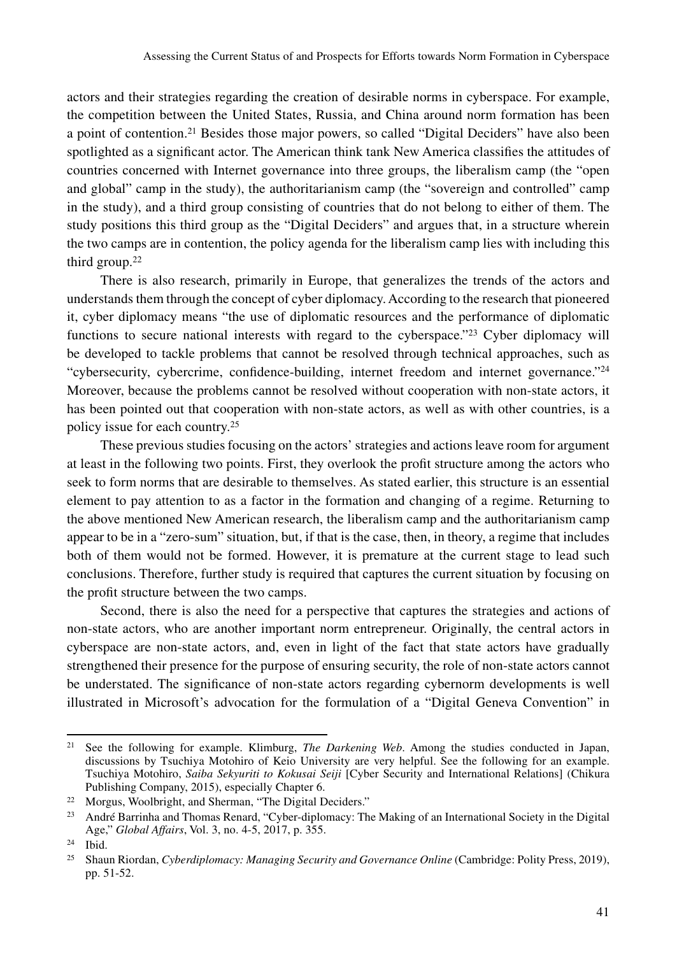actors and their strategies regarding the creation of desirable norms in cyberspace. For example, the competition between the United States, Russia, and China around norm formation has been a point of contention.<sup>21</sup> Besides those major powers, so called "Digital Deciders" have also been spotlighted as a significant actor. The American think tank New America classifies the attitudes of countries concerned with Internet governance into three groups, the liberalism camp (the "open and global" camp in the study), the authoritarianism camp (the "sovereign and controlled" camp in the study), and a third group consisting of countries that do not belong to either of them. The study positions this third group as the "Digital Deciders" and argues that, in a structure wherein the two camps are in contention, the policy agenda for the liberalism camp lies with including this third group.<sup>22</sup>

There is also research, primarily in Europe, that generalizes the trends of the actors and understands them through the concept of cyber diplomacy. According to the research that pioneered it, cyber diplomacy means "the use of diplomatic resources and the performance of diplomatic functions to secure national interests with regard to the cyberspace."<sup>23</sup> Cyber diplomacy will be developed to tackle problems that cannot be resolved through technical approaches, such as "cybersecurity, cybercrime, confidence-building, internet freedom and internet governance."24 Moreover, because the problems cannot be resolved without cooperation with non-state actors, it has been pointed out that cooperation with non-state actors, as well as with other countries, is a policy issue for each country.25

These previous studies focusing on the actors' strategies and actions leave room for argument at least in the following two points. First, they overlook the profit structure among the actors who seek to form norms that are desirable to themselves. As stated earlier, this structure is an essential element to pay attention to as a factor in the formation and changing of a regime. Returning to the above mentioned New American research, the liberalism camp and the authoritarianism camp appear to be in a "zero-sum" situation, but, if that is the case, then, in theory, a regime that includes both of them would not be formed. However, it is premature at the current stage to lead such conclusions. Therefore, further study is required that captures the current situation by focusing on the profit structure between the two camps.

Second, there is also the need for a perspective that captures the strategies and actions of non-state actors, who are another important norm entrepreneur. Originally, the central actors in cyberspace are non-state actors, and, even in light of the fact that state actors have gradually strengthened their presence for the purpose of ensuring security, the role of non-state actors cannot be understated. The significance of non-state actors regarding cybernorm developments is well illustrated in Microsoft's advocation for the formulation of a "Digital Geneva Convention" in

<sup>21</sup> See the following for example. Klimburg, *The Darkening Web*. Among the studies conducted in Japan, discussions by Tsuchiya Motohiro of Keio University are very helpful. See the following for an example. Tsuchiya Motohiro, *Saiba Sekyuriti to Kokusai Seiji* [Cyber Security and International Relations] (Chikura Publishing Company, 2015), especially Chapter 6.

<sup>22</sup> Morgus, Woolbright, and Sherman, "The Digital Deciders."

<sup>&</sup>lt;sup>23</sup> André Barrinha and Thomas Renard, "Cyber-diplomacy: The Making of an International Society in the Digital Age," *Global Affairs*, Vol. 3, no. 4-5, 2017, p. 355.

<sup>24</sup> Ibid.

<sup>&</sup>lt;sup>25</sup> Shaun Riordan, *Cyberdiplomacy: Managing Security and Governance Online* (Cambridge: Polity Press, 2019), pp. 51-52.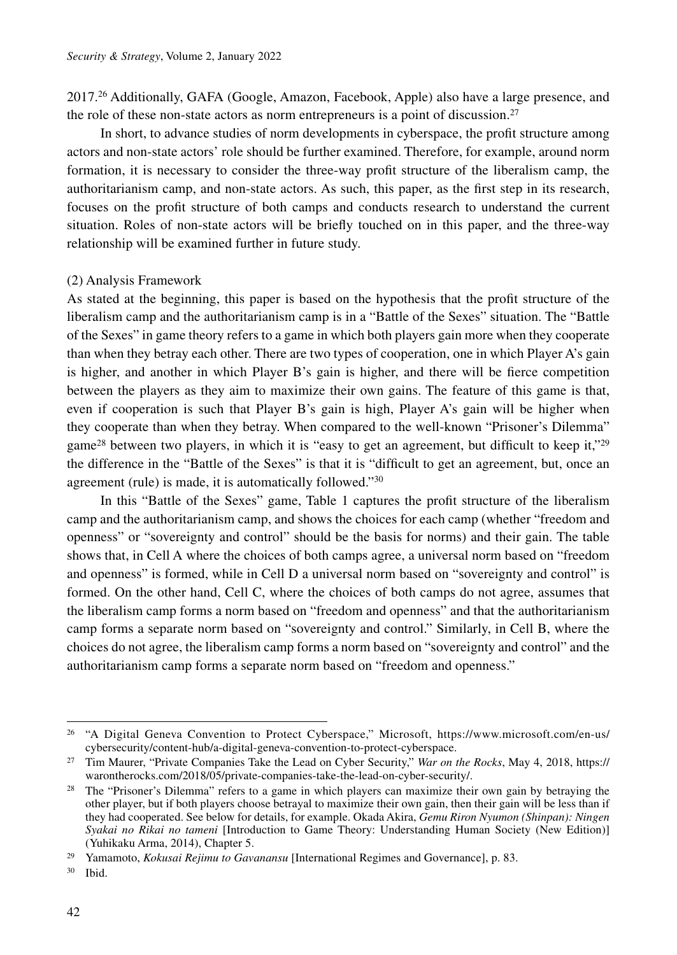2017.26 Additionally, GAFA (Google, Amazon, Facebook, Apple) also have a large presence, and the role of these non-state actors as norm entrepreneurs is a point of discussion.27

In short, to advance studies of norm developments in cyberspace, the profit structure among actors and non-state actors' role should be further examined. Therefore, for example, around norm formation, it is necessary to consider the three-way profit structure of the liberalism camp, the authoritarianism camp, and non-state actors. As such, this paper, as the first step in its research, focuses on the profit structure of both camps and conducts research to understand the current situation. Roles of non-state actors will be briefly touched on in this paper, and the three-way relationship will be examined further in future study.

#### (2) Analysis Framework

As stated at the beginning, this paper is based on the hypothesis that the profit structure of the liberalism camp and the authoritarianism camp is in a "Battle of the Sexes" situation. The "Battle of the Sexes" in game theory refers to a game in which both players gain more when they cooperate than when they betray each other. There are two types of cooperation, one in which Player A's gain is higher, and another in which Player B's gain is higher, and there will be fierce competition between the players as they aim to maximize their own gains. The feature of this game is that, even if cooperation is such that Player B's gain is high, Player A's gain will be higher when they cooperate than when they betray. When compared to the well-known "Prisoner's Dilemma" game<sup>28</sup> between two players, in which it is "easy to get an agreement, but difficult to keep it,"<sup>29</sup> the difference in the "Battle of the Sexes" is that it is "difficult to get an agreement, but, once an agreement (rule) is made, it is automatically followed."30

In this "Battle of the Sexes" game, Table 1 captures the profit structure of the liberalism camp and the authoritarianism camp, and shows the choices for each camp (whether "freedom and openness" or "sovereignty and control" should be the basis for norms) and their gain. The table shows that, in Cell A where the choices of both camps agree, a universal norm based on "freedom and openness" is formed, while in Cell D a universal norm based on "sovereignty and control" is formed. On the other hand, Cell C, where the choices of both camps do not agree, assumes that the liberalism camp forms a norm based on "freedom and openness" and that the authoritarianism camp forms a separate norm based on "sovereignty and control." Similarly, in Cell B, where the choices do not agree, the liberalism camp forms a norm based on "sovereignty and control" and the authoritarianism camp forms a separate norm based on "freedom and openness."

<sup>&</sup>lt;sup>26</sup> "A Digital Geneva Convention to Protect Cyberspace," Microsoft, https://www.microsoft.com/en-us/ cybersecurity/content-hub/a-digital-geneva-convention-to-protect-cyberspace.

<sup>27</sup> Tim Maurer, "Private Companies Take the Lead on Cyber Security," *War on the Rocks*, May 4, 2018, https:// warontherocks.com/2018/05/private-companies-take-the-lead-on-cyber-security/.

<sup>&</sup>lt;sup>28</sup> The "Prisoner's Dilemma" refers to a game in which players can maximize their own gain by betraying the other player, but if both players choose betrayal to maximize their own gain, then their gain will be less than if they had cooperated. See below for details, for example. Okada Akira, *Gemu Riron Nyumon (Shinpan): Ningen Syakai no Rikai no tameni* [Introduction to Game Theory: Understanding Human Society (New Edition)] (Yuhikaku Arma, 2014), Chapter 5.

<sup>29</sup> Yamamoto, *Kokusai Rejimu to Gavanansu* [International Regimes and Governance], p. 83.

<sup>30</sup> Ibid.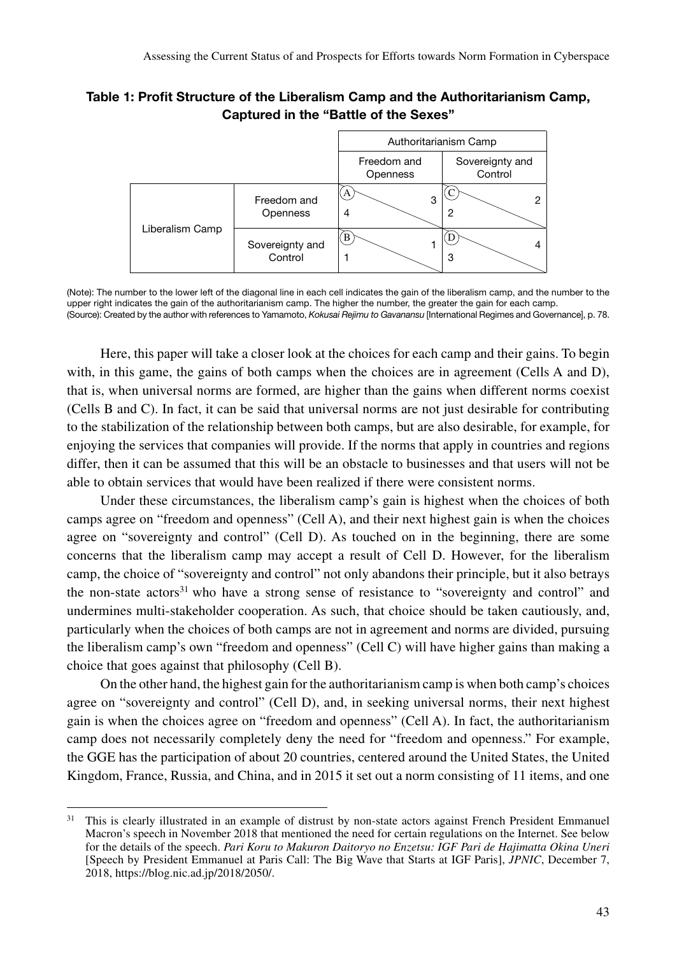Table 1: Profit Structure of the Liberalism Camp and the Authoritarianism Camp, Captured in the "Battle of the Sexes"



<sup>(</sup>Note): The number to the lower left of the diagonal line in each cell indicates the gain of the liberalism camp, and the number to the upper right indicates the gain of the authoritarianism camp. The higher the number, the greater the gain for each camp. (Source): Created by the author with references to Yamamoto, *Kokusai Rejimu to Gavanansu* [International Regimes and Governance], p. 78.

Here, this paper will take a closer look at the choices for each camp and their gains. To begin with, in this game, the gains of both camps when the choices are in agreement (Cells A and D), that is, when universal norms are formed, are higher than the gains when different norms coexist (Cells B and C). In fact, it can be said that universal norms are not just desirable for contributing to the stabilization of the relationship between both camps, but are also desirable, for example, for enjoying the services that companies will provide. If the norms that apply in countries and regions differ, then it can be assumed that this will be an obstacle to businesses and that users will not be able to obtain services that would have been realized if there were consistent norms.

Under these circumstances, the liberalism camp's gain is highest when the choices of both camps agree on "freedom and openness" (Cell A), and their next highest gain is when the choices agree on "sovereignty and control" (Cell D). As touched on in the beginning, there are some concerns that the liberalism camp may accept a result of Cell D. However, for the liberalism camp, the choice of "sovereignty and control" not only abandons their principle, but it also betrays the non-state actors<sup>31</sup> who have a strong sense of resistance to "sovereignty and control" and undermines multi-stakeholder cooperation. As such, that choice should be taken cautiously, and, particularly when the choices of both camps are not in agreement and norms are divided, pursuing the liberalism camp's own "freedom and openness" (Cell C) will have higher gains than making a choice that goes against that philosophy (Cell B).

On the other hand, the highest gain for the authoritarianism camp is when both camp's choices agree on "sovereignty and control" (Cell D), and, in seeking universal norms, their next highest gain is when the choices agree on "freedom and openness" (Cell A). In fact, the authoritarianism camp does not necessarily completely deny the need for "freedom and openness." For example, the GGE has the participation of about 20 countries, centered around the United States, the United Kingdom, France, Russia, and China, and in 2015 it set out a norm consisting of 11 items, and one

<sup>&</sup>lt;sup>31</sup> This is clearly illustrated in an example of distrust by non-state actors against French President Emmanuel Macron's speech in November 2018 that mentioned the need for certain regulations on the Internet. See below for the details of the speech. *Pari Koru to Makuron Daitoryo no Enzetsu: IGF Pari de Hajimatta Okina Uneri*  [Speech by President Emmanuel at Paris Call: The Big Wave that Starts at IGF Paris], *JPNIC*, December 7, 2018, https://blog.nic.ad.jp/2018/2050/.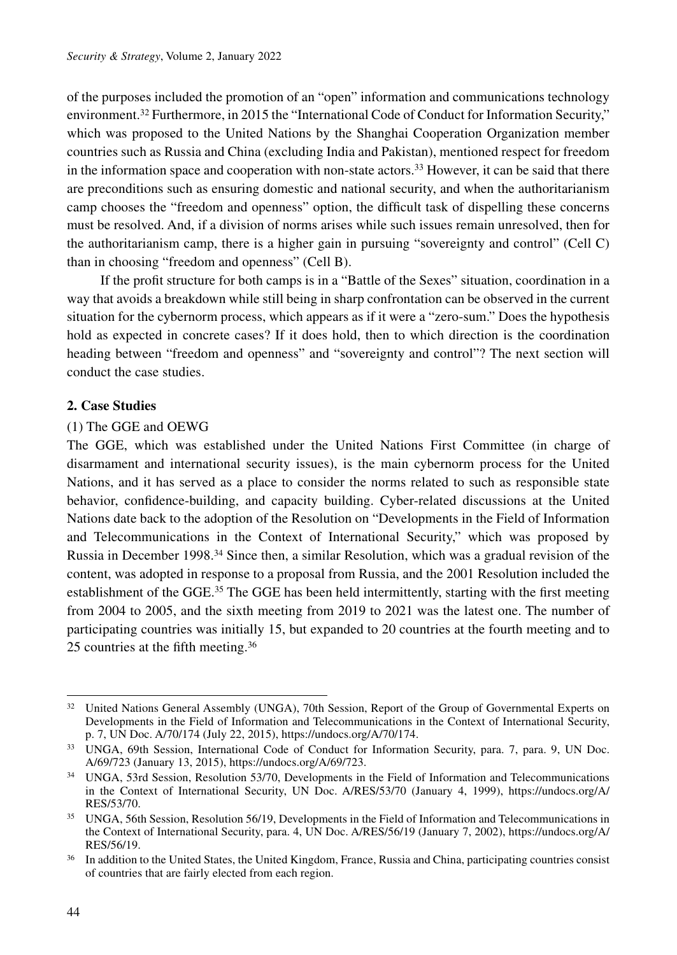of the purposes included the promotion of an "open" information and communications technology environment.32 Furthermore, in 2015 the "International Code of Conduct for Information Security," which was proposed to the United Nations by the Shanghai Cooperation Organization member countries such as Russia and China (excluding India and Pakistan), mentioned respect for freedom in the information space and cooperation with non-state actors.<sup>33</sup> However, it can be said that there are preconditions such as ensuring domestic and national security, and when the authoritarianism camp chooses the "freedom and openness" option, the difficult task of dispelling these concerns must be resolved. And, if a division of norms arises while such issues remain unresolved, then for the authoritarianism camp, there is a higher gain in pursuing "sovereignty and control" (Cell C) than in choosing "freedom and openness" (Cell B).

If the profit structure for both camps is in a "Battle of the Sexes" situation, coordination in a way that avoids a breakdown while still being in sharp confrontation can be observed in the current situation for the cybernorm process, which appears as if it were a "zero-sum." Does the hypothesis hold as expected in concrete cases? If it does hold, then to which direction is the coordination heading between "freedom and openness" and "sovereignty and control"? The next section will conduct the case studies.

# **2. Case Studies**

# (1) The GGE and OEWG

The GGE, which was established under the United Nations First Committee (in charge of disarmament and international security issues), is the main cybernorm process for the United Nations, and it has served as a place to consider the norms related to such as responsible state behavior, confidence-building, and capacity building. Cyber-related discussions at the United Nations date back to the adoption of the Resolution on "Developments in the Field of Information and Telecommunications in the Context of International Security," which was proposed by Russia in December 1998.34 Since then, a similar Resolution, which was a gradual revision of the content, was adopted in response to a proposal from Russia, and the 2001 Resolution included the establishment of the GGE.<sup>35</sup> The GGE has been held intermittently, starting with the first meeting from 2004 to 2005, and the sixth meeting from 2019 to 2021 was the latest one. The number of participating countries was initially 15, but expanded to 20 countries at the fourth meeting and to 25 countries at the fifth meeting.36

<sup>&</sup>lt;sup>32</sup> United Nations General Assembly (UNGA), 70th Session, Report of the Group of Governmental Experts on Developments in the Field of Information and Telecommunications in the Context of International Security, p. 7, UN Doc. A/70/174 (July 22, 2015), https://undocs.org/A/70/174.

<sup>33</sup> UNGA, 69th Session, International Code of Conduct for Information Security, para. 7, para. 9, UN Doc. A/69/723 (January 13, 2015), https://undocs.org/A/69/723.

<sup>&</sup>lt;sup>34</sup> UNGA, 53rd Session, Resolution 53/70, Developments in the Field of Information and Telecommunications in the Context of International Security, UN Doc. A/RES/53/70 (January 4, 1999), https://undocs.org/A/ RES/53/70.

<sup>35</sup> UNGA, 56th Session, Resolution 56/19, Developments in the Field of Information and Telecommunications in the Context of International Security, para. 4, UN Doc. A/RES/56/19 (January 7, 2002), https://undocs.org/A/ RES/56/19.

<sup>&</sup>lt;sup>36</sup> In addition to the United States, the United Kingdom, France, Russia and China, participating countries consist of countries that are fairly elected from each region.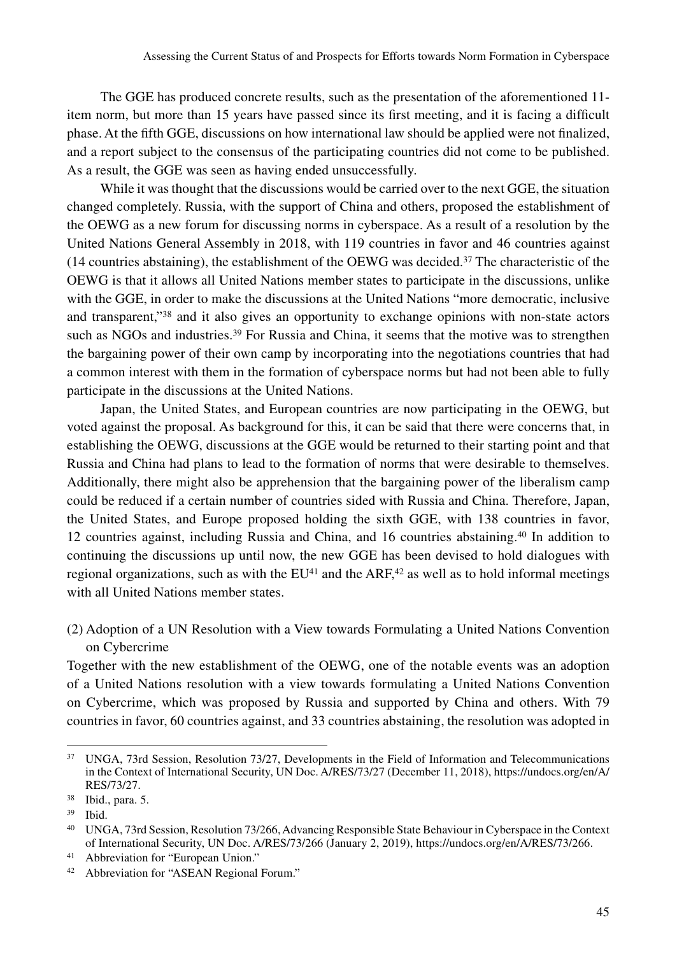The GGE has produced concrete results, such as the presentation of the aforementioned 11 item norm, but more than 15 years have passed since its first meeting, and it is facing a difficult phase. At the fifth GGE, discussions on how international law should be applied were not finalized, and a report subject to the consensus of the participating countries did not come to be published. As a result, the GGE was seen as having ended unsuccessfully.

While it was thought that the discussions would be carried over to the next GGE, the situation changed completely. Russia, with the support of China and others, proposed the establishment of the OEWG as a new forum for discussing norms in cyberspace. As a result of a resolution by the United Nations General Assembly in 2018, with 119 countries in favor and 46 countries against  $(14$  countries abstaining), the establishment of the OEWG was decided.<sup>37</sup> The characteristic of the OEWG is that it allows all United Nations member states to participate in the discussions, unlike with the GGE, in order to make the discussions at the United Nations "more democratic, inclusive and transparent,"38 and it also gives an opportunity to exchange opinions with non-state actors such as NGOs and industries.<sup>39</sup> For Russia and China, it seems that the motive was to strengthen the bargaining power of their own camp by incorporating into the negotiations countries that had a common interest with them in the formation of cyberspace norms but had not been able to fully participate in the discussions at the United Nations.

Japan, the United States, and European countries are now participating in the OEWG, but voted against the proposal. As background for this, it can be said that there were concerns that, in establishing the OEWG, discussions at the GGE would be returned to their starting point and that Russia and China had plans to lead to the formation of norms that were desirable to themselves. Additionally, there might also be apprehension that the bargaining power of the liberalism camp could be reduced if a certain number of countries sided with Russia and China. Therefore, Japan, the United States, and Europe proposed holding the sixth GGE, with 138 countries in favor, 12 countries against, including Russia and China, and 16 countries abstaining.40 In addition to continuing the discussions up until now, the new GGE has been devised to hold dialogues with regional organizations, such as with the  $EU^{41}$  and the ARF,<sup>42</sup> as well as to hold informal meetings with all United Nations member states.

(2) Adoption of a UN Resolution with a View towards Formulating a United Nations Convention on Cybercrime

Together with the new establishment of the OEWG, one of the notable events was an adoption of a United Nations resolution with a view towards formulating a United Nations Convention on Cybercrime, which was proposed by Russia and supported by China and others. With 79 countries in favor, 60 countries against, and 33 countries abstaining, the resolution was adopted in

<sup>41</sup> Abbreviation for "European Union."

<sup>37</sup> UNGA, 73rd Session, Resolution 73/27, Developments in the Field of Information and Telecommunications in the Context of International Security, UN Doc. A/RES/73/27 (December 11, 2018), https://undocs.org/en/A/ RES/73/27.

<sup>38</sup> Ibid., para. 5.

<sup>39</sup> Ibid.

<sup>40</sup> UNGA, 73rd Session, Resolution 73/266, Advancing Responsible State Behaviour in Cyberspace in the Context of International Security, UN Doc. A/RES/73/266 (January 2, 2019), https://undocs.org/en/A/RES/73/266.

<sup>42</sup> Abbreviation for "ASEAN Regional Forum."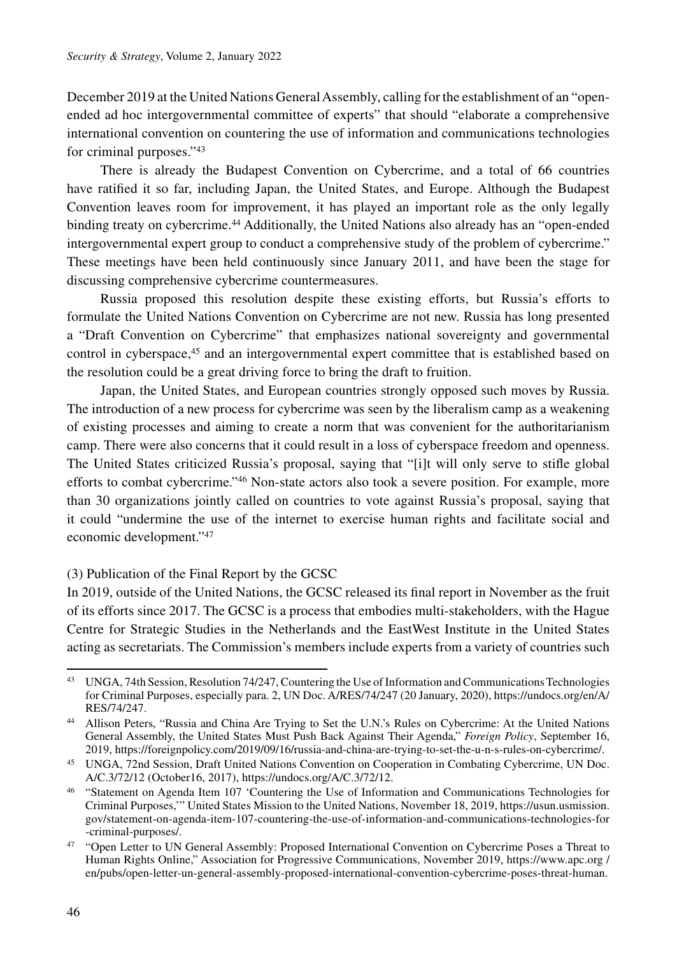December 2019 at the United Nations General Assembly, calling for the establishment of an "openended ad hoc intergovernmental committee of experts" that should "elaborate a comprehensive international convention on countering the use of information and communications technologies for criminal purposes."43

There is already the Budapest Convention on Cybercrime, and a total of 66 countries have ratified it so far, including Japan, the United States, and Europe. Although the Budapest Convention leaves room for improvement, it has played an important role as the only legally binding treaty on cybercrime.44 Additionally, the United Nations also already has an "open-ended intergovernmental expert group to conduct a comprehensive study of the problem of cybercrime." These meetings have been held continuously since January 2011, and have been the stage for discussing comprehensive cybercrime countermeasures.

Russia proposed this resolution despite these existing efforts, but Russia's efforts to formulate the United Nations Convention on Cybercrime are not new. Russia has long presented a "Draft Convention on Cybercrime" that emphasizes national sovereignty and governmental control in cyberspace,<sup>45</sup> and an intergovernmental expert committee that is established based on the resolution could be a great driving force to bring the draft to fruition.

Japan, the United States, and European countries strongly opposed such moves by Russia. The introduction of a new process for cybercrime was seen by the liberalism camp as a weakening of existing processes and aiming to create a norm that was convenient for the authoritarianism camp. There were also concerns that it could result in a loss of cyberspace freedom and openness. The United States criticized Russia's proposal, saying that "[i]t will only serve to stifle global efforts to combat cybercrime."46 Non-state actors also took a severe position. For example, more than 30 organizations jointly called on countries to vote against Russia's proposal, saying that it could "undermine the use of the internet to exercise human rights and facilitate social and economic development."47

# (3) Publication of the Final Report by the GCSC

In 2019, outside of the United Nations, the GCSC released its final report in November as the fruit of its efforts since 2017. The GCSC is a process that embodies multi-stakeholders, with the Hague Centre for Strategic Studies in the Netherlands and the EastWest Institute in the United States acting as secretariats. The Commission's members include experts from a variety of countries such

<sup>43</sup> UNGA, 74th Session, Resolution 74/247, Countering the Use of Information and Communications Technologies for Criminal Purposes, especially para. 2, UN Doc. A/RES/74/247 (20 January, 2020), https://undocs.org/en/A/ RES/74/247.

<sup>44</sup> Allison Peters, "Russia and China Are Trying to Set the U.N.'s Rules on Cybercrime: At the United Nations General Assembly, the United States Must Push Back Against Their Agenda," *Foreign Policy*, September 16, 2019, https://foreignpolicy.com/2019/09/16/russia-and-china-are-trying-to-set-the-u-n-s-rules-on-cybercrime/.

<sup>45</sup> UNGA, 72nd Session, Draft United Nations Convention on Cooperation in Combating Cybercrime, UN Doc. A/C.3/72/12 (October16, 2017), https://undocs.org/A/C.3/72/12.

<sup>46</sup> "Statement on Agenda Item 107 'Countering the Use of Information and Communications Technologies for Criminal Purposes,'" United States Mission to the United Nations, November 18, 2019, https://usun.usmission. gov/statement-on-agenda-item-107-countering-the-use-of-information-and-communications-technologies-for -criminal-purposes/.

<sup>&</sup>lt;sup>47</sup> "Open Letter to UN General Assembly: Proposed International Convention on Cybercrime Poses a Threat to Human Rights Online," Association for Progressive Communications, November 2019, https://www.apc.org / en/pubs/open-letter-un-general-assembly-proposed-international-convention-cybercrime-poses-threat-human.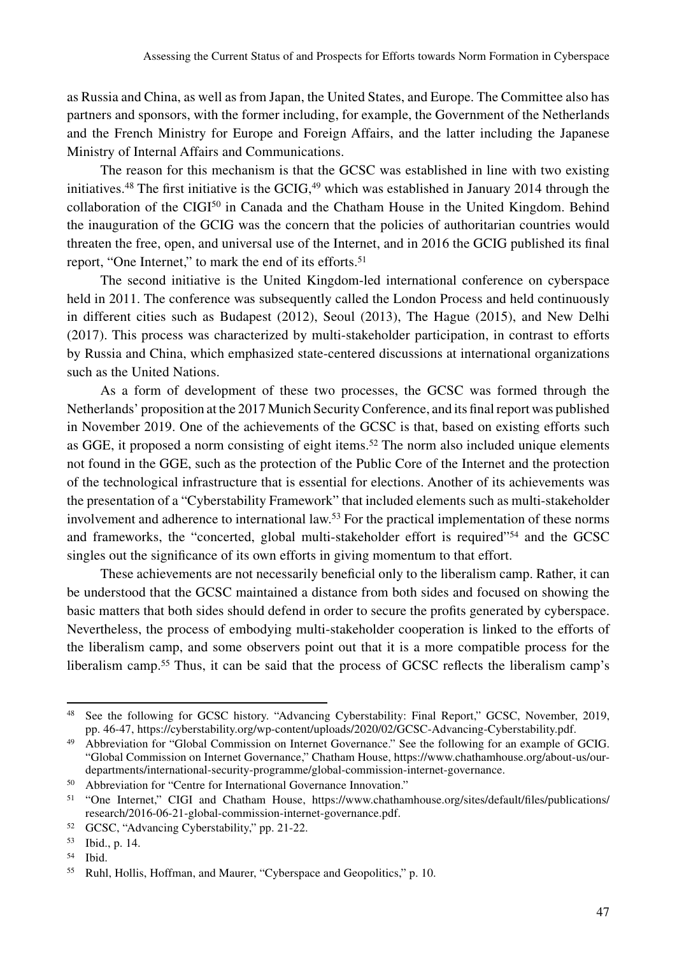as Russia and China, as well as from Japan, the United States, and Europe. The Committee also has partners and sponsors, with the former including, for example, the Government of the Netherlands and the French Ministry for Europe and Foreign Affairs, and the latter including the Japanese Ministry of Internal Affairs and Communications.

The reason for this mechanism is that the GCSC was established in line with two existing initiatives.<sup>48</sup> The first initiative is the GCIG,<sup>49</sup> which was established in January 2014 through the collaboration of the  $ClG<sup>50</sup>$  in Canada and the Chatham House in the United Kingdom. Behind the inauguration of the GCIG was the concern that the policies of authoritarian countries would threaten the free, open, and universal use of the Internet, and in 2016 the GCIG published its final report, "One Internet," to mark the end of its efforts.<sup>51</sup>

The second initiative is the United Kingdom-led international conference on cyberspace held in 2011. The conference was subsequently called the London Process and held continuously in different cities such as Budapest (2012), Seoul (2013), The Hague (2015), and New Delhi (2017). This process was characterized by multi-stakeholder participation, in contrast to efforts by Russia and China, which emphasized state-centered discussions at international organizations such as the United Nations.

As a form of development of these two processes, the GCSC was formed through the Netherlands' proposition at the 2017 Munich Security Conference, and its final report was published in November 2019. One of the achievements of the GCSC is that, based on existing efforts such as GGE, it proposed a norm consisting of eight items.<sup>52</sup> The norm also included unique elements not found in the GGE, such as the protection of the Public Core of the Internet and the protection of the technological infrastructure that is essential for elections. Another of its achievements was the presentation of a "Cyberstability Framework" that included elements such as multi-stakeholder involvement and adherence to international law.<sup>53</sup> For the practical implementation of these norms and frameworks, the "concerted, global multi-stakeholder effort is required"54 and the GCSC singles out the significance of its own efforts in giving momentum to that effort.

These achievements are not necessarily beneficial only to the liberalism camp. Rather, it can be understood that the GCSC maintained a distance from both sides and focused on showing the basic matters that both sides should defend in order to secure the profits generated by cyberspace. Nevertheless, the process of embodying multi-stakeholder cooperation is linked to the efforts of the liberalism camp, and some observers point out that it is a more compatible process for the liberalism camp.<sup>55</sup> Thus, it can be said that the process of GCSC reflects the liberalism camp's

<sup>54</sup> Ibid.

<sup>48</sup> See the following for GCSC history. "Advancing Cyberstability: Final Report," GCSC, November, 2019, pp. 46-47, https://cyberstability.org/wp-content/uploads/2020/02/GCSC-Advancing-Cyberstability.pdf.

<sup>&</sup>lt;sup>49</sup> Abbreviation for "Global Commission on Internet Governance." See the following for an example of GCIG. "Global Commission on Internet Governance," Chatham House, https://www.chathamhouse.org/about-us/ourdepartments/international-security-programme/global-commission-internet-governance.

<sup>50</sup> Abbreviation for "Centre for International Governance Innovation."

<sup>51</sup> "One Internet," CIGI and Chatham House, https://www.chathamhouse.org/sites/default/files/publications/ research/2016-06-21-global-commission-internet-governance.pdf.

<sup>52</sup> GCSC, "Advancing Cyberstability," pp. 21-22.

<sup>53</sup> Ibid., p. 14.

<sup>55</sup> Ruhl, Hollis, Hoffman, and Maurer, "Cyberspace and Geopolitics," p. 10.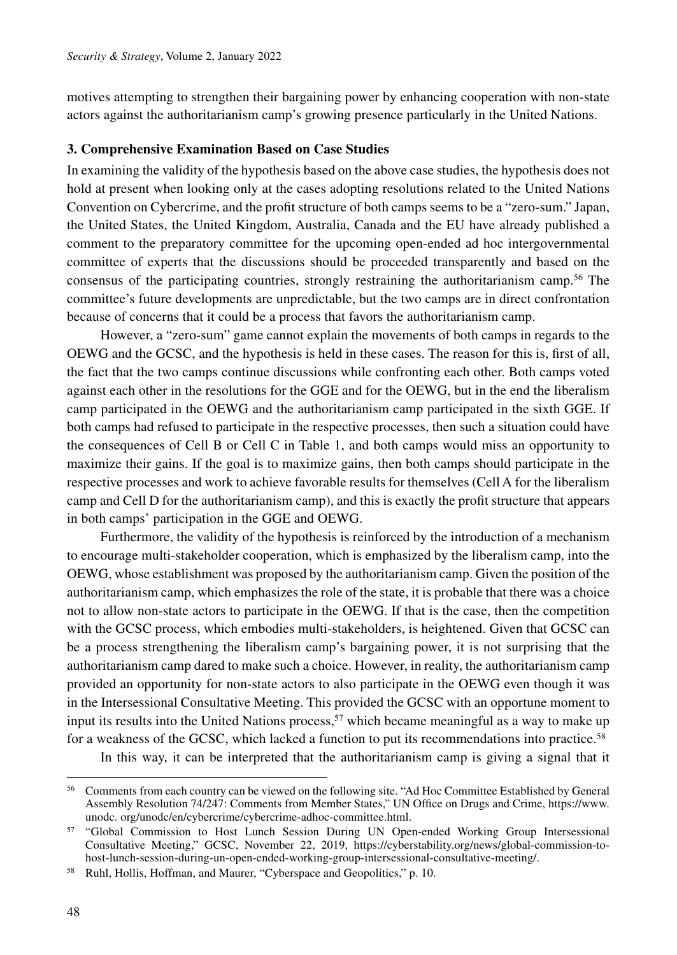motives attempting to strengthen their bargaining power by enhancing cooperation with non-state actors against the authoritarianism camp's growing presence particularly in the United Nations.

#### **3. Comprehensive Examination Based on Case Studies**

In examining the validity of the hypothesis based on the above case studies, the hypothesis does not hold at present when looking only at the cases adopting resolutions related to the United Nations Convention on Cybercrime, and the profit structure of both camps seems to be a "zero-sum." Japan, the United States, the United Kingdom, Australia, Canada and the EU have already published a comment to the preparatory committee for the upcoming open-ended ad hoc intergovernmental committee of experts that the discussions should be proceeded transparently and based on the consensus of the participating countries, strongly restraining the authoritarianism camp.56 The committee's future developments are unpredictable, but the two camps are in direct confrontation because of concerns that it could be a process that favors the authoritarianism camp.

However, a "zero-sum" game cannot explain the movements of both camps in regards to the OEWG and the GCSC, and the hypothesis is held in these cases. The reason for this is, first of all, the fact that the two camps continue discussions while confronting each other. Both camps voted against each other in the resolutions for the GGE and for the OEWG, but in the end the liberalism camp participated in the OEWG and the authoritarianism camp participated in the sixth GGE. If both camps had refused to participate in the respective processes, then such a situation could have the consequences of Cell B or Cell C in Table 1, and both camps would miss an opportunity to maximize their gains. If the goal is to maximize gains, then both camps should participate in the respective processes and work to achieve favorable results for themselves (Cell A for the liberalism camp and Cell D for the authoritarianism camp), and this is exactly the profit structure that appears in both camps' participation in the GGE and OEWG.

Furthermore, the validity of the hypothesis is reinforced by the introduction of a mechanism to encourage multi-stakeholder cooperation, which is emphasized by the liberalism camp, into the OEWG, whose establishment was proposed by the authoritarianism camp. Given the position of the authoritarianism camp, which emphasizes the role of the state, it is probable that there was a choice not to allow non-state actors to participate in the OEWG. If that is the case, then the competition with the GCSC process, which embodies multi-stakeholders, is heightened. Given that GCSC can be a process strengthening the liberalism camp's bargaining power, it is not surprising that the authoritarianism camp dared to make such a choice. However, in reality, the authoritarianism camp provided an opportunity for non-state actors to also participate in the OEWG even though it was in the Intersessional Consultative Meeting. This provided the GCSC with an opportune moment to input its results into the United Nations process,  $57$  which became meaningful as a way to make up for a weakness of the GCSC, which lacked a function to put its recommendations into practice.<sup>58</sup>

In this way, it can be interpreted that the authoritarianism camp is giving a signal that it

<sup>&</sup>lt;sup>56</sup> Comments from each country can be viewed on the following site. "Ad Hoc Committee Established by General Assembly Resolution 74/247: Comments from Member States," UN Office on Drugs and Crime, https://www. unodc. org/unodc/en/cybercrime/cybercrime-adhoc-committee.html.

<sup>57</sup> "Global Commission to Host Lunch Session During UN Open-ended Working Group Intersessional Consultative Meeting," GCSC, November 22, 2019, https://cyberstability.org/news/global-commission-tohost-lunch-session-during-un-open-ended-working-group-intersessional-consultative-meeting/.

<sup>58</sup> Ruhl, Hollis, Hoffman, and Maurer, "Cyberspace and Geopolitics," p. 10.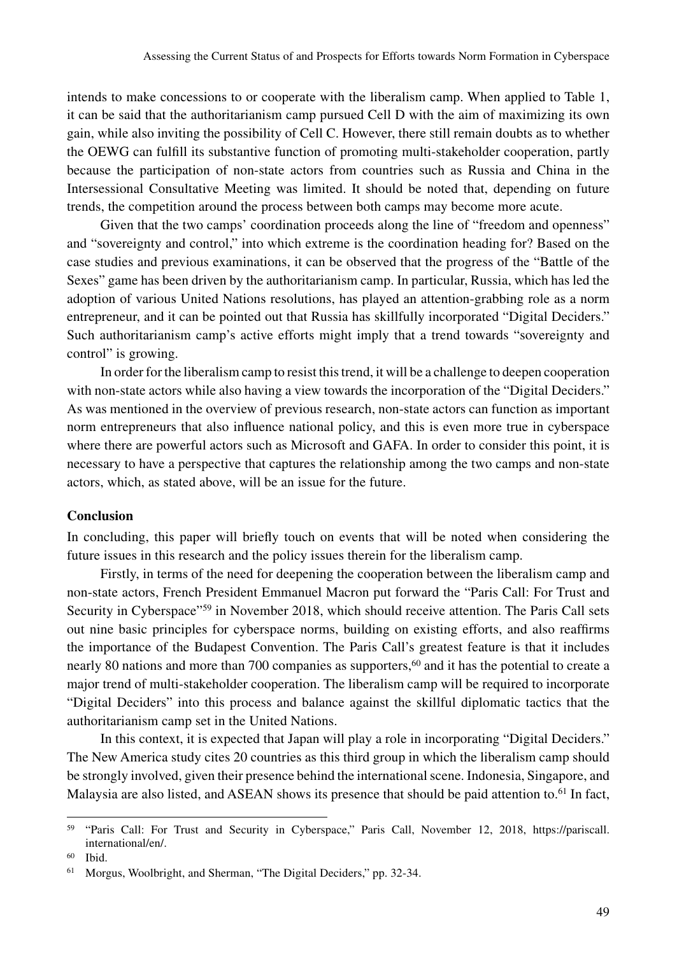intends to make concessions to or cooperate with the liberalism camp. When applied to Table 1, it can be said that the authoritarianism camp pursued Cell D with the aim of maximizing its own gain, while also inviting the possibility of Cell C. However, there still remain doubts as to whether the OEWG can fulfill its substantive function of promoting multi-stakeholder cooperation, partly because the participation of non-state actors from countries such as Russia and China in the Intersessional Consultative Meeting was limited. It should be noted that, depending on future trends, the competition around the process between both camps may become more acute.

Given that the two camps' coordination proceeds along the line of "freedom and openness" and "sovereignty and control," into which extreme is the coordination heading for? Based on the case studies and previous examinations, it can be observed that the progress of the "Battle of the Sexes" game has been driven by the authoritarianism camp. In particular, Russia, which has led the adoption of various United Nations resolutions, has played an attention-grabbing role as a norm entrepreneur, and it can be pointed out that Russia has skillfully incorporated "Digital Deciders." Such authoritarianism camp's active efforts might imply that a trend towards "sovereignty and control" is growing.

In order for the liberalism camp to resist this trend, it will be a challenge to deepen cooperation with non-state actors while also having a view towards the incorporation of the "Digital Deciders." As was mentioned in the overview of previous research, non-state actors can function as important norm entrepreneurs that also influence national policy, and this is even more true in cyberspace where there are powerful actors such as Microsoft and GAFA. In order to consider this point, it is necessary to have a perspective that captures the relationship among the two camps and non-state actors, which, as stated above, will be an issue for the future.

# **Conclusion**

In concluding, this paper will briefly touch on events that will be noted when considering the future issues in this research and the policy issues therein for the liberalism camp.

Firstly, in terms of the need for deepening the cooperation between the liberalism camp and non-state actors, French President Emmanuel Macron put forward the "Paris Call: For Trust and Security in Cyberspace"<sup>59</sup> in November 2018, which should receive attention. The Paris Call sets out nine basic principles for cyberspace norms, building on existing efforts, and also reaffirms the importance of the Budapest Convention. The Paris Call's greatest feature is that it includes nearly 80 nations and more than 700 companies as supporters,<sup>60</sup> and it has the potential to create a major trend of multi-stakeholder cooperation. The liberalism camp will be required to incorporate "Digital Deciders" into this process and balance against the skillful diplomatic tactics that the authoritarianism camp set in the United Nations.

In this context, it is expected that Japan will play a role in incorporating "Digital Deciders." The New America study cites 20 countries as this third group in which the liberalism camp should be strongly involved, given their presence behind the international scene. Indonesia, Singapore, and Malaysia are also listed, and ASEAN shows its presence that should be paid attention to.<sup>61</sup> In fact,

<sup>59</sup> "Paris Call: For Trust and Security in Cyberspace," Paris Call, November 12, 2018, https://pariscall. international/en/.

<sup>60</sup> Ibid.

<sup>61</sup> Morgus, Woolbright, and Sherman, "The Digital Deciders," pp. 32-34.